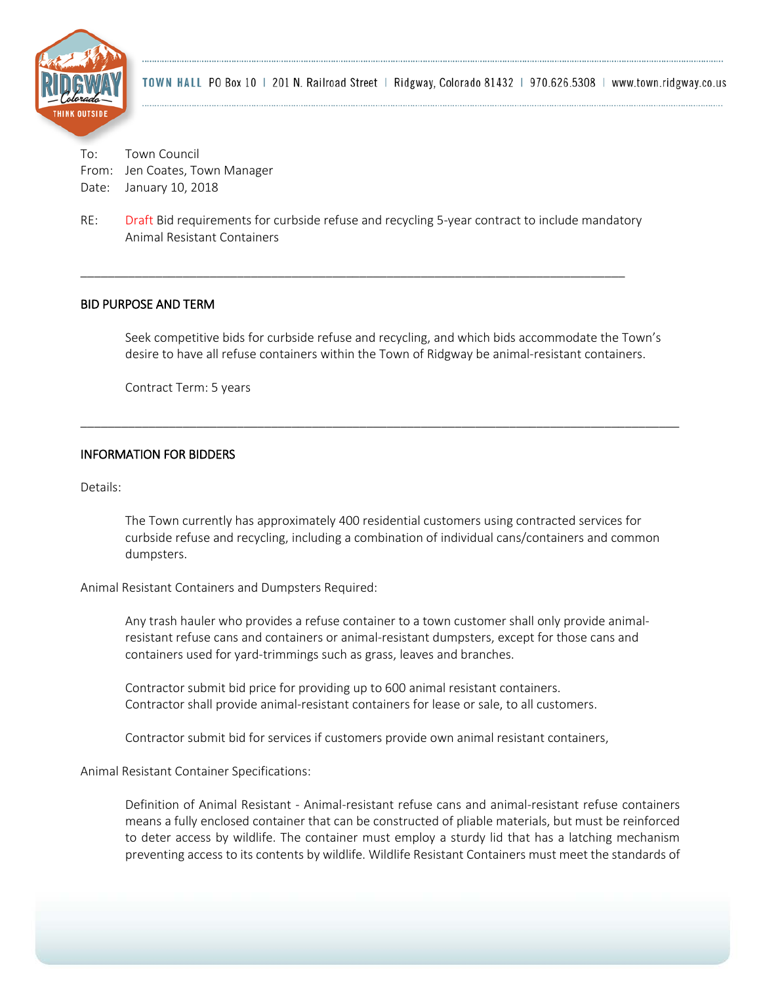

To: Town Council From: Jen Coates, Town Manager Date: January 10, 2018

RE: Draft Bid requirements for curbside refuse and recycling 5-year contract to include mandatory Animal Resistant Containers

\_\_\_\_\_\_\_\_\_\_\_\_\_\_\_\_\_\_\_\_\_\_\_\_\_\_\_\_\_\_\_\_\_\_\_\_\_\_\_\_\_\_\_\_\_\_\_\_\_\_\_\_\_\_\_\_\_\_\_\_\_\_\_\_\_\_\_\_\_\_\_\_\_\_\_\_\_\_\_\_

### BID PURPOSE AND TERM

Seek competitive bids for curbside refuse and recycling, and which bids accommodate the Town's desire to have all refuse containers within the Town of Ridgway be animal-resistant containers.

\_\_\_\_\_\_\_\_\_\_\_\_\_\_\_\_\_\_\_\_\_\_\_\_\_\_\_\_\_\_\_\_\_\_\_\_\_\_\_\_\_\_\_\_\_\_\_\_\_\_\_\_\_\_\_\_\_\_\_\_\_\_\_\_\_\_\_\_\_\_\_\_\_\_\_\_\_\_\_\_\_\_\_\_\_\_\_\_

Contract Term: 5 years

### INFORMATION FOR BIDDERS

Details:

The Town currently has approximately 400 residential customers using contracted services for curbside refuse and recycling, including a combination of individual cans/containers and common dumpsters.

Animal Resistant Containers and Dumpsters Required:

Any trash hauler who provides a refuse container to a town customer shall only provide animalresistant refuse cans and containers or animal-resistant dumpsters, except for those cans and containers used for yard-trimmings such as grass, leaves and branches.

Contractor submit bid price for providing up to 600 animal resistant containers. Contractor shall provide animal-resistant containers for lease or sale, to all customers.

Contractor submit bid for services if customers provide own animal resistant containers,

Animal Resistant Container Specifications:

Definition of Animal Resistant - Animal-resistant refuse cans and animal-resistant refuse containers means a fully enclosed container that can be constructed of pliable materials, but must be reinforced to deter access by wildlife. The container must employ a sturdy lid that has a latching mechanism preventing access to its contents by wildlife. Wildlife Resistant Containers must meet the standards of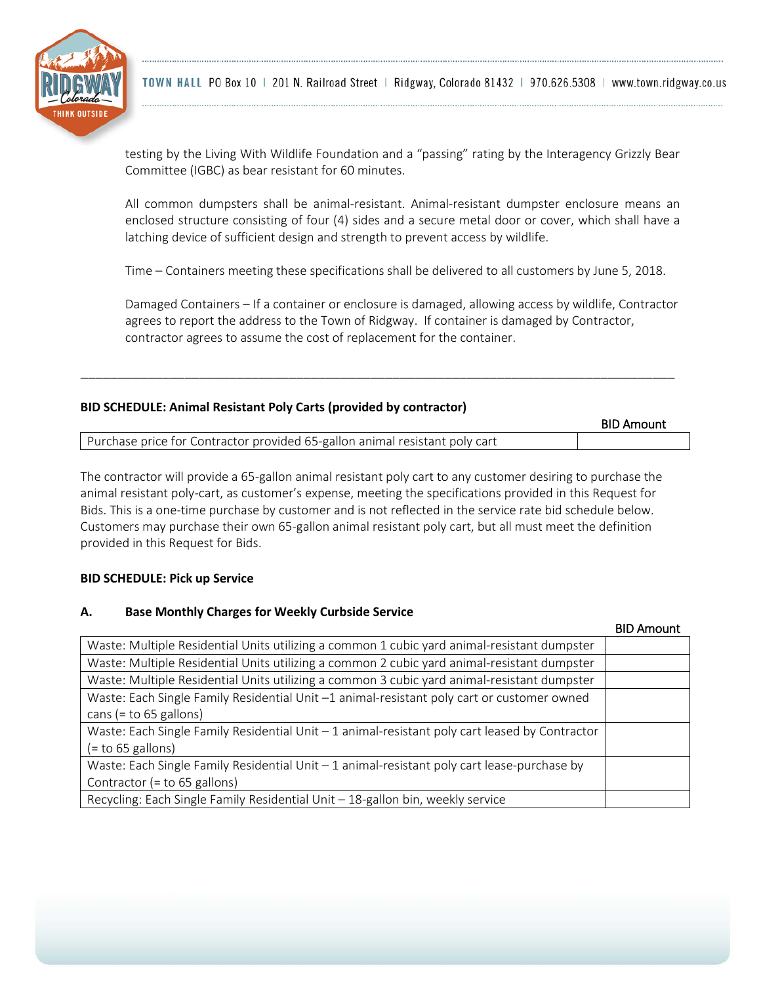

testing by the Living With Wildlife Foundation and a "passing" rating by the Interagency Grizzly Bear Committee (IGBC) as bear resistant for 60 minutes.

All common dumpsters shall be animal-resistant. Animal-resistant dumpster enclosure means an enclosed structure consisting of four (4) sides and a secure metal door or cover, which shall have a latching device of sufficient design and strength to prevent access by wildlife.

Time – Containers meeting these specifications shall be delivered to all customers by June 5, 2018.

Damaged Containers – If a container or enclosure is damaged, allowing access by wildlife, Contractor agrees to report the address to the Town of Ridgway. If container is damaged by Contractor, contractor agrees to assume the cost of replacement for the container.

# **BID SCHEDULE: Animal Resistant Poly Carts (provided by contractor)**

|                                                                             | <b>BID Amount</b> |
|-----------------------------------------------------------------------------|-------------------|
| Purchase price for Contractor provided 65-gallon animal resistant poly cart |                   |

\_\_\_\_\_\_\_\_\_\_\_\_\_\_\_\_\_\_\_\_\_\_\_\_\_\_\_\_\_\_\_\_\_\_\_\_\_\_\_\_\_\_\_\_\_\_\_\_\_\_\_\_\_\_\_\_\_\_\_\_\_\_\_\_\_\_\_\_\_\_\_\_\_\_\_\_\_\_\_\_

The contractor will provide a 65-gallon animal resistant poly cart to any customer desiring to purchase the animal resistant poly-cart, as customer's expense, meeting the specifications provided in this Request for Bids. This is a one-time purchase by customer and is not reflected in the service rate bid schedule below. Customers may purchase their own 65-gallon animal resistant poly cart, but all must meet the definition provided in this Request for Bids.

### **BID SCHEDULE: Pick up Service**

### **A. Base Monthly Charges for Weekly Curbside Service**

|                                                                                                                       | <b>BID Amount</b> |
|-----------------------------------------------------------------------------------------------------------------------|-------------------|
| Waste: Multiple Residential Units utilizing a common 1 cubic yard animal-resistant dumpster                           |                   |
| Waste: Multiple Residential Units utilizing a common 2 cubic yard animal-resistant dumpster                           |                   |
| Waste: Multiple Residential Units utilizing a common 3 cubic yard animal-resistant dumpster                           |                   |
| Waste: Each Single Family Residential Unit -1 animal-resistant poly cart or customer owned<br>cans (= to 65 gallons)  |                   |
| Waste: Each Single Family Residential Unit - 1 animal-resistant poly cart leased by Contractor<br>$(=$ to 65 gallons) |                   |
| Waste: Each Single Family Residential Unit - 1 animal-resistant poly cart lease-purchase by                           |                   |
| Contractor (= to 65 gallons)                                                                                          |                   |
| Recycling: Each Single Family Residential Unit - 18-gallon bin, weekly service                                        |                   |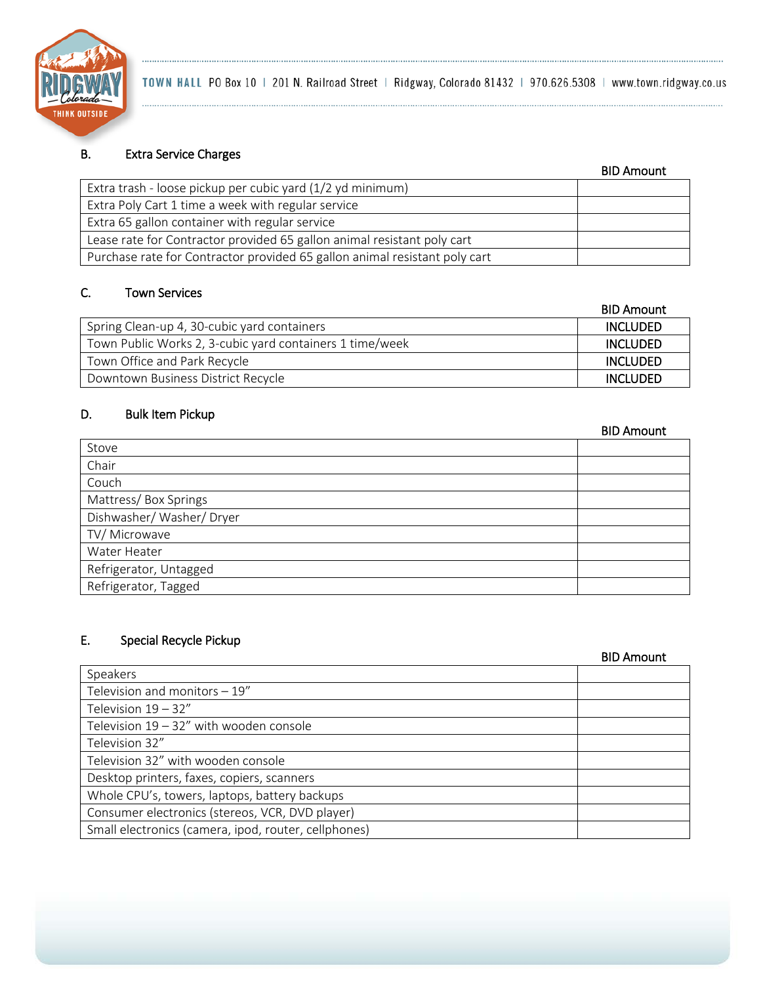

# B. Extra Service Charges

. . . . . . . . . . .

|                                                                            | <b>BID Amount</b> |
|----------------------------------------------------------------------------|-------------------|
| Extra trash - loose pickup per cubic yard (1/2 yd minimum)                 |                   |
| Extra Poly Cart 1 time a week with regular service                         |                   |
| Extra 65 gallon container with regular service                             |                   |
| Lease rate for Contractor provided 65 gallon animal resistant poly cart    |                   |
| Purchase rate for Contractor provided 65 gallon animal resistant poly cart |                   |
|                                                                            |                   |

# C. Town Services

|                                                          | <b>BID Amount</b> |
|----------------------------------------------------------|-------------------|
| Spring Clean-up 4, 30-cubic yard containers              | <b>INCLUDED</b>   |
| Town Public Works 2, 3-cubic yard containers 1 time/week | <b>INCLUDED</b>   |
| Town Office and Park Recycle                             | <b>INCLUDED</b>   |
| Downtown Business District Recycle                       | <b>INCLUDED</b>   |

### D. Bulk Item Pickup

|                         | <b>BID Amount</b> |
|-------------------------|-------------------|
| Stove                   |                   |
| Chair                   |                   |
| Couch                   |                   |
| Mattress/Box Springs    |                   |
| Dishwasher/Washer/Dryer |                   |
| TV/ Microwave           |                   |
| Water Heater            |                   |
| Refrigerator, Untagged  |                   |
| Refrigerator, Tagged    |                   |

# E. Special Recycle Pickup

|                                                      | <b>BID Amount</b> |
|------------------------------------------------------|-------------------|
| Speakers                                             |                   |
| Television and monitors $-19''$                      |                   |
| Television $19 - 32''$                               |                   |
| Television $19 - 32$ " with wooden console           |                   |
| Television 32"                                       |                   |
| Television 32" with wooden console                   |                   |
| Desktop printers, faxes, copiers, scanners           |                   |
| Whole CPU's, towers, laptops, battery backups        |                   |
| Consumer electronics (stereos, VCR, DVD player)      |                   |
| Small electronics (camera, ipod, router, cellphones) |                   |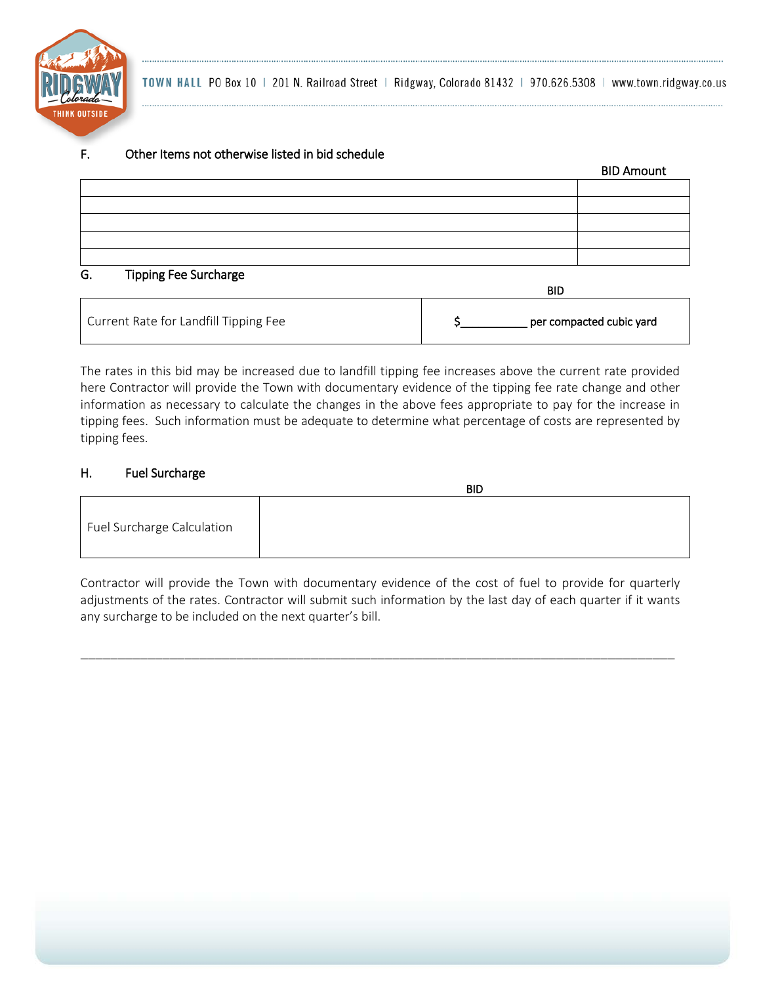

## F. Other Items not otherwise listed in bid schedule

|                            | <b>BID Amount</b> |
|----------------------------|-------------------|
|                            |                   |
|                            |                   |
|                            |                   |
|                            |                   |
|                            |                   |
| Tinning Eee Surcharge<br>G |                   |

### ipping Fee Surcharge

|                                       | <b>BID</b>               |
|---------------------------------------|--------------------------|
| Current Rate for Landfill Tipping Fee | per compacted cubic yard |

The rates in this bid may be increased due to landfill tipping fee increases above the current rate provided here Contractor will provide the Town with documentary evidence of the tipping fee rate change and other information as necessary to calculate the changes in the above fees appropriate to pay for the increase in tipping fees. Such information must be adequate to determine what percentage of costs are represented by tipping fees.

# H. Fuel Surcharge

|                            | <b>BID</b> |
|----------------------------|------------|
| Fuel Surcharge Calculation |            |

Contractor will provide the Town with documentary evidence of the cost of fuel to provide for quarterly adjustments of the rates. Contractor will submit such information by the last day of each quarter if it wants any surcharge to be included on the next quarter's bill.

\_\_\_\_\_\_\_\_\_\_\_\_\_\_\_\_\_\_\_\_\_\_\_\_\_\_\_\_\_\_\_\_\_\_\_\_\_\_\_\_\_\_\_\_\_\_\_\_\_\_\_\_\_\_\_\_\_\_\_\_\_\_\_\_\_\_\_\_\_\_\_\_\_\_\_\_\_\_\_\_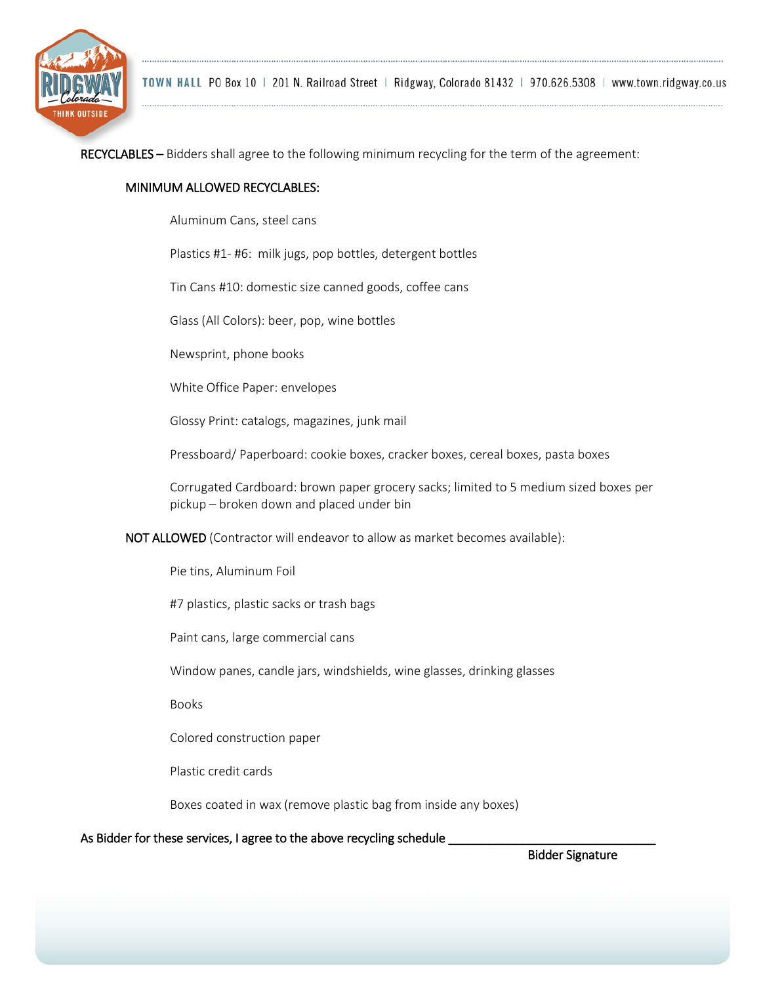

RECYCLABLES – Bidders shall agree to the following minimum recycling for the term of the agreement:

### MINIMUM ALLOWED RECYCLABLES:

Aluminum Cans, steel cans

Plastics #1- #6: milk jugs, pop bottles, detergent bottles

Tin Cans #10: domestic size canned goods, coffee cans

Glass (All Colors): beer, pop, wine bottles

Newsprint, phone books

White Office Paper: envelopes

Glossy Print: catalogs, magazines, junk mail

Pressboard/ Paperboard: cookie boxes, cracker boxes, cereal boxes, pasta boxes

Corrugated Cardboard: brown paper grocery sacks; limited to 5 medium sized boxes per pickup – broken down and placed under bin

NOT ALLOWED (Contractor will endeavor to allow as market becomes available):

Pie tins, Aluminum Foil

#7 plastics, plastic sacks or trash bags

Paint cans, large commercial cans

Window panes, candle jars, windshields, wine glasses, drinking glasses

Books

Colored construction paper

Plastic credit cards

Boxes coated in wax (remove plastic bag from inside any boxes)

### As Bidder for these services, I agree to the above recycling schedule \_

Bidder Signature